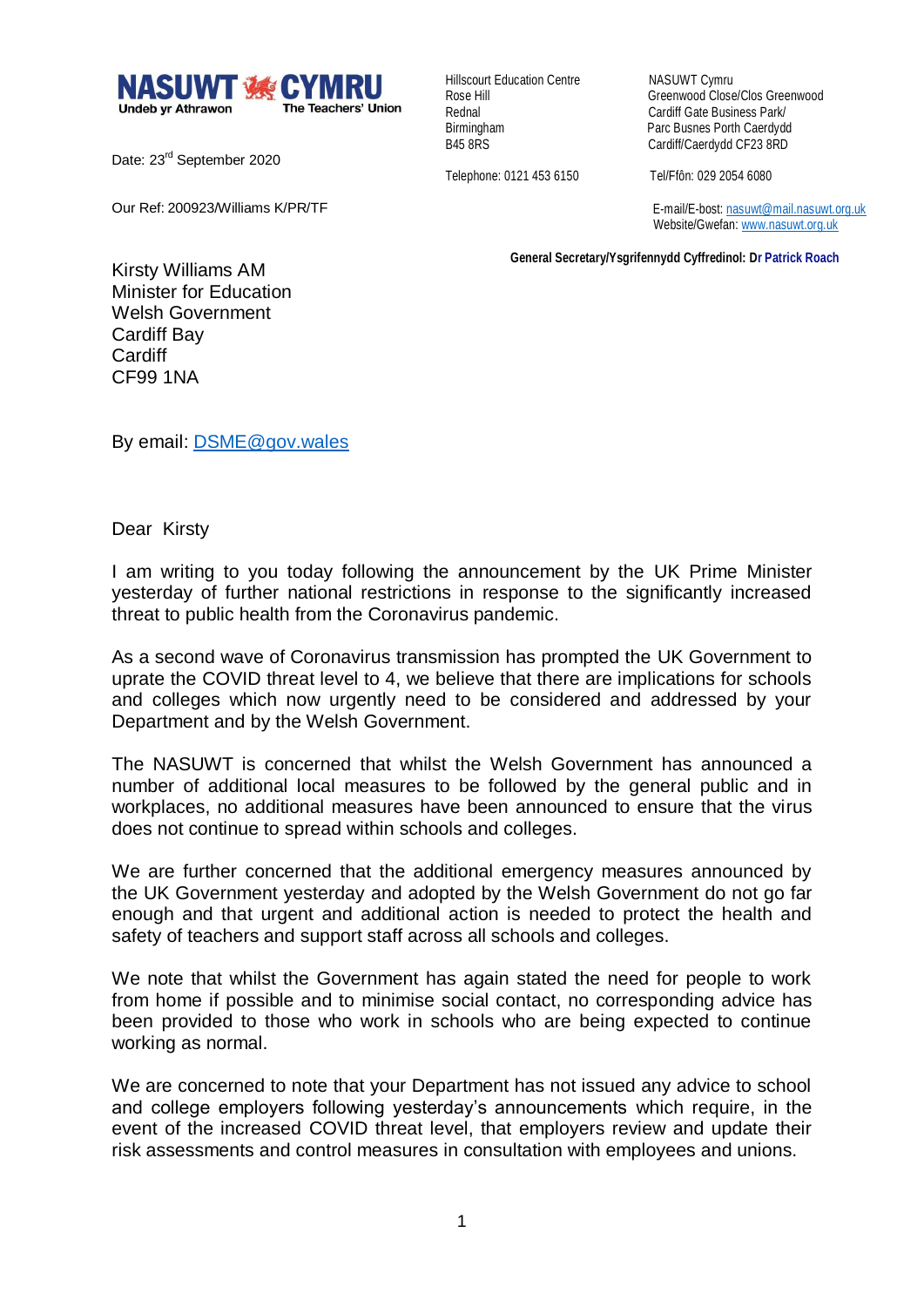

Date: 23<sup>rd</sup> September 2020

Our Ref: 200923/Williams K/PR/TF

**Hillscourt Education Centre NASUWT Cymru** 

Rose Hill Greenwood Close/Clos Greenwood Rednal Cardiff Gate Business Park/<br>Birmingham Cardiff Gate Business Porth Caerdydr Birmingham Parc Busnes Porth Caerdydd<br>
B45 8RS<br>
Cardiff/Caerdydd CF23 8RD Cardiff/Caerdydd CF23 8RD

Telephone: 0121 453 6150 Tel/Ffôn: 029 2054 6080

 E-mail/E-bost[: nasuwt@mail.nasuwt.org.uk](mailto:nasuwt@mail.nasuwt.org.uk) Website/Gwefan: [www.nasuwt.org.uk](http://www.nasuwt.org.uk/)

 **General Secretary/Ysgrifennydd Cyffredinol: Dr Patrick Roach**

Kirsty Williams AM Minister for Education Welsh Government Cardiff Bay **Cardiff** CF99 1NA

By email: [DSME@gov.wales](mailto:DSME@gov.wales)

Dear Kirsty

I am writing to you today following the announcement by the UK Prime Minister yesterday of further national restrictions in response to the significantly increased threat to public health from the Coronavirus pandemic.

As a second wave of Coronavirus transmission has prompted the UK Government to uprate the COVID threat level to 4, we believe that there are implications for schools and colleges which now urgently need to be considered and addressed by your Department and by the Welsh Government.

The NASUWT is concerned that whilst the Welsh Government has announced a number of additional local measures to be followed by the general public and in workplaces, no additional measures have been announced to ensure that the virus does not continue to spread within schools and colleges.

We are further concerned that the additional emergency measures announced by the UK Government yesterday and adopted by the Welsh Government do not go far enough and that urgent and additional action is needed to protect the health and safety of teachers and support staff across all schools and colleges.

We note that whilst the Government has again stated the need for people to work from home if possible and to minimise social contact, no corresponding advice has been provided to those who work in schools who are being expected to continue working as normal.

We are concerned to note that your Department has not issued any advice to school and college employers following yesterday's announcements which require, in the event of the increased COVID threat level, that employers review and update their risk assessments and control measures in consultation with employees and unions.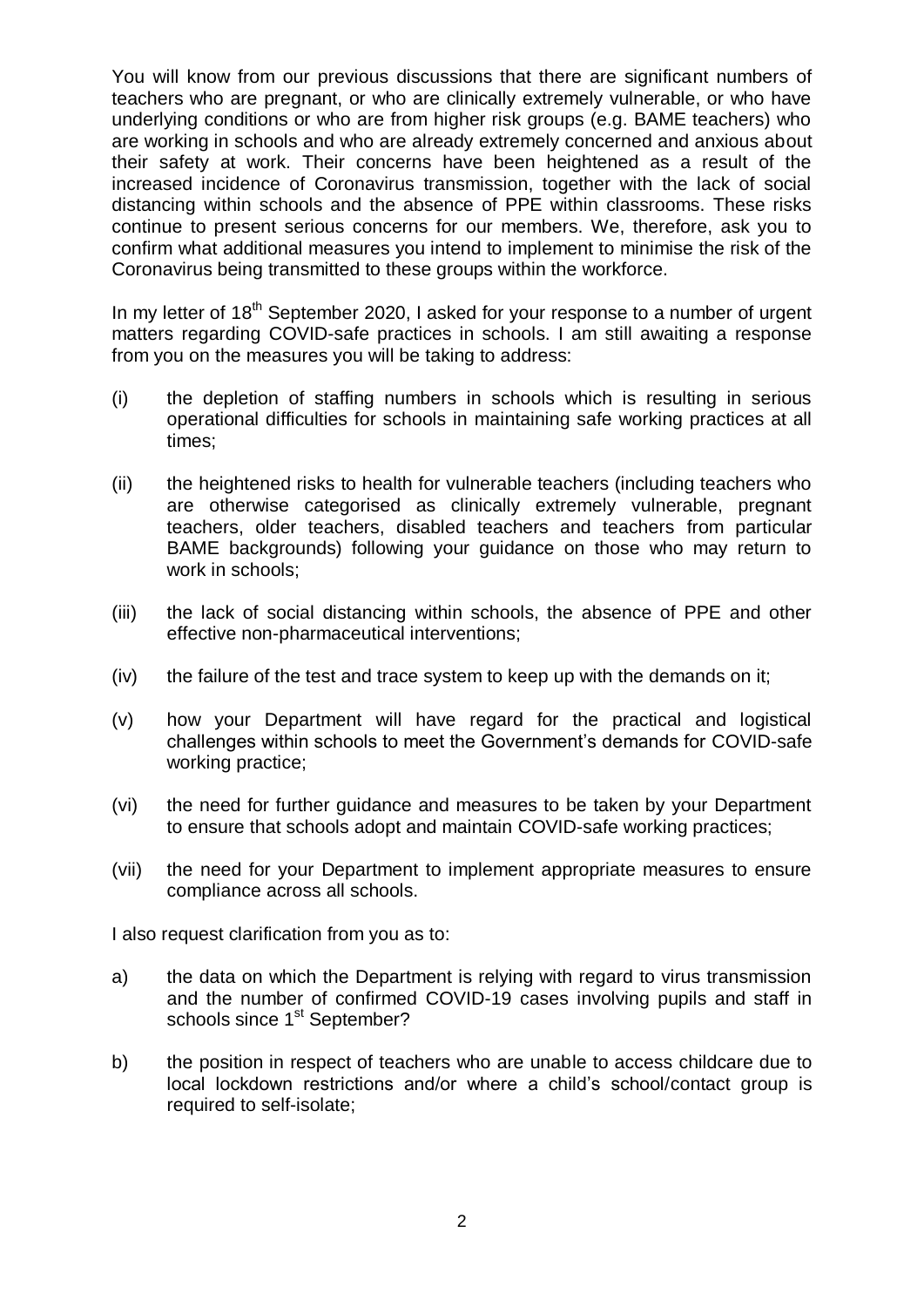You will know from our previous discussions that there are significant numbers of teachers who are pregnant, or who are clinically extremely vulnerable, or who have underlying conditions or who are from higher risk groups (e.g. BAME teachers) who are working in schools and who are already extremely concerned and anxious about their safety at work. Their concerns have been heightened as a result of the increased incidence of Coronavirus transmission, together with the lack of social distancing within schools and the absence of PPE within classrooms. These risks continue to present serious concerns for our members. We, therefore, ask you to confirm what additional measures you intend to implement to minimise the risk of the Coronavirus being transmitted to these groups within the workforce.

In my letter of  $18<sup>th</sup>$  September 2020, I asked for your response to a number of urgent matters regarding COVID-safe practices in schools. I am still awaiting a response from you on the measures you will be taking to address:

- (i) the depletion of staffing numbers in schools which is resulting in serious operational difficulties for schools in maintaining safe working practices at all times;
- (ii) the heightened risks to health for vulnerable teachers (including teachers who are otherwise categorised as clinically extremely vulnerable, pregnant teachers, older teachers, disabled teachers and teachers from particular BAME backgrounds) following your guidance on those who may return to work in schools;
- (iii) the lack of social distancing within schools, the absence of PPE and other effective non-pharmaceutical interventions;
- (iv) the failure of the test and trace system to keep up with the demands on it;
- (v) how your Department will have regard for the practical and logistical challenges within schools to meet the Government's demands for COVID-safe working practice;
- (vi) the need for further guidance and measures to be taken by your Department to ensure that schools adopt and maintain COVID-safe working practices;
- (vii) the need for your Department to implement appropriate measures to ensure compliance across all schools.

I also request clarification from you as to:

- a) the data on which the Department is relying with regard to virus transmission and the number of confirmed COVID-19 cases involving pupils and staff in schools since 1<sup>st</sup> September?
- b) the position in respect of teachers who are unable to access childcare due to local lockdown restrictions and/or where a child's school/contact group is required to self-isolate;